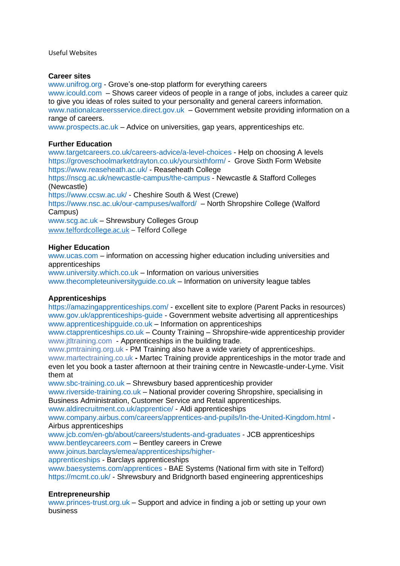Useful Websites

## **Career sites**

[www.unifrog.org](http://www.unifrog.org/) - Grove's one-stop platform for everything careers

[www.icould.com](http://www.icould.com/) – Shows career videos of people in a range of jobs, includes a career quiz to give you ideas of roles suited to your personality and general careers information. [www.nationalcareersservice.direct.gov.uk](http://www.nationalcareersservice.direct.gov.uk/) – Government website providing information on a range of careers.

[www.prospects.ac.uk](http://www.prospects.ac.uk/) – Advice on universities, gap years, apprenticeships etc.

# **Further Education**

[www.targetcareers.co.uk/careers-advice/a-level-choices](http://www.targetcareers.co.uk/careers-advice/a-level-choices) - Help on choosing A levels <https://groveschoolmarketdrayton.co.uk/yoursixthform/> - Grove Sixth Form Website <https://www.reaseheath.ac.uk/> - Reaseheath College

<https://nscg.ac.uk/newcastle-campus/the-campus> - Newcastle & Stafford Colleges (Newcastle)

<https://www.ccsw.ac.uk/> - Cheshire South & West (Crewe)

<https://www.nsc.ac.uk/our-campuses/walford/>– North Shropshire College (Walford Campus)

[www.scg.ac.uk](http://www.scg.ac.uk/) – Shrewsbury Colleges Group [www.telfordcollege.ac.uk](http://www.telfordcollege.ac.uk/) – Telford College

## **Higher Education**

[www.ucas.com](http://www.ucas.com/) – information on accessing higher education including universities and apprenticeships

[www.university.which.co.uk](http://www.university.which.co.uk/) – Information on various universities [www.thecompleteuniversityguide.co.uk](http://www.thecompleteuniversityguide.co.uk/) – Information on university league tables

## **Apprenticeships**

<https://amazingapprenticeships.com/> - excellent site to explore (Parent Packs in resources) [www.gov.uk/apprenticeships-guide](http://www.gov.uk/apprenticeships-guide) - Government website advertising all apprenticeships [www.apprenticeshipguide.co.uk](http://www.apprenticeshipguide.co.uk/) – Information on apprenticeships

[www.ctapprenticeships.co.uk](http://www.ctapprenticeships.co.uk/) – County Training – Shropshire-wide apprenticeship provider [www.jtltraining.com](http://www.jtltraining.com/) - Apprenticeships in the building trade.

[www.pmtraining.org.uk](http://www.pmtraining.org.uk/) - PM Training also have a wide variety of apprenticeships. [www.martectraining.co.uk](http://www.martectraining.co.uk/) **-** Martec Training provide apprenticeships in the motor trade and even let you book a taster afternoon at their training centre in Newcastle-under-Lyme. Visit them at

[www.sbc-training.co.uk](http://www.sbc-training.co.uk/) – Shrewsbury based apprenticeship provider

[www.riverside-training.co.uk](http://www.riverside-training.co.uk/) – National provider covering Shropshire, specialising in Business Administration, Customer Service and Retail apprenticeships.

[www.aldirecruitment.co.uk/apprentice/](http://www.aldirecruitment.co.uk/apprentice/) - Aldi apprenticeships

[www.company.airbus.com/careers/apprentices-and-pupils/In-the-United-Kingdom.html](http://www.company.airbus.com/careers/apprentices-and-pupils/In-the-United-Kingdom.html) - Airbus apprenticeships

[www.jcb.com/en-gb/about/careers/students-and-graduates](http://www.jcb.com/en-gb/about/careers/students-and-graduates) - JCB apprenticeships [www.bentleycareers.com](http://www.bentleycareers.com/) – Bentley careers in Crewe

[www.joinus.barclays/emea/apprenticeships/higher-](http://www.joinus.barclays/emea/apprenticeships/higher-apprenticeships)

[apprenticeships](http://www.joinus.barclays/emea/apprenticeships/higher-apprenticeships) - Barclays apprenticeships

[www.baesystems.com/apprentices](http://www.baesystems.com/apprentices) - BAE Systems (National firm with site in Telford) <https://mcmt.co.uk/> - Shrewsbury and Bridgnorth based engineering apprenticeships

## **Entrepreneurship**

[www.princes-trust.org.uk](http://www.princes-trust.org.uk/) – Support and advice in finding a job or setting up your own business